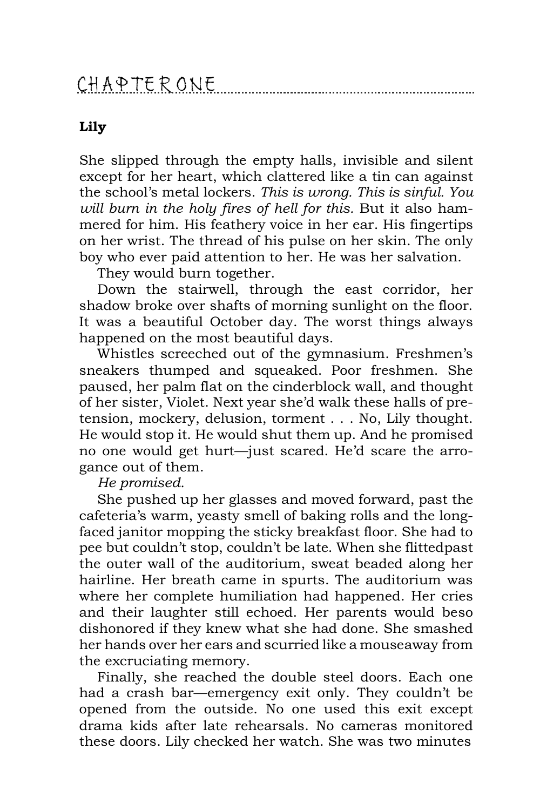# **Lily**

She slipped through the empty halls, invisible and silent except for her heart, which clattered like a tin can against the school's metal lockers. *This is wrong. This is sinful. You will burn in the holy fires of hell for this.* But it also hammered for him. His feathery voice in her ear. His fingertips on her wrist. The thread of his pulse on her skin. The only boy who ever paid attention to her. He was her salvation.

They would burn together.

Down the stairwell, through the east corridor, her shadow broke over shafts of morning sunlight on the floor. It was a beautiful October day. The worst things always happened on the most beautiful days.

Whistles screeched out of the gymnasium. Freshmen's sneakers thumped and squeaked. Poor freshmen. She paused, her palm flat on the cinderblock wall, and thought of her sister, Violet. Next year she'd walk these halls of pretension, mockery, delusion, torment . . . No, Lily thought. He would stop it. He would shut them up. And he promised no one would get hurt—just scared. He'd scare the arrogance out of them.

*He promised.*

She pushed up her glasses and moved forward, past the cafeteria's warm, yeasty smell of baking rolls and the longfaced janitor mopping the sticky breakfast floor. She had to pee but couldn't stop, couldn't be late. When she flittedpast the outer wall of the auditorium, sweat beaded along her hairline. Her breath came in spurts. The auditorium was where her complete humiliation had happened. Her cries and their laughter still echoed. Her parents would beso dishonored if they knew what she had done. She smashed her hands over her ears and scurried like a mouseaway from the excruciating memory.

Finally, she reached the double steel doors. Each one had a crash bar—emergency exit only. They couldn't be opened from the outside. No one used this exit except drama kids after late rehearsals. No cameras monitored these doors. Lily checked her watch. She was two minutes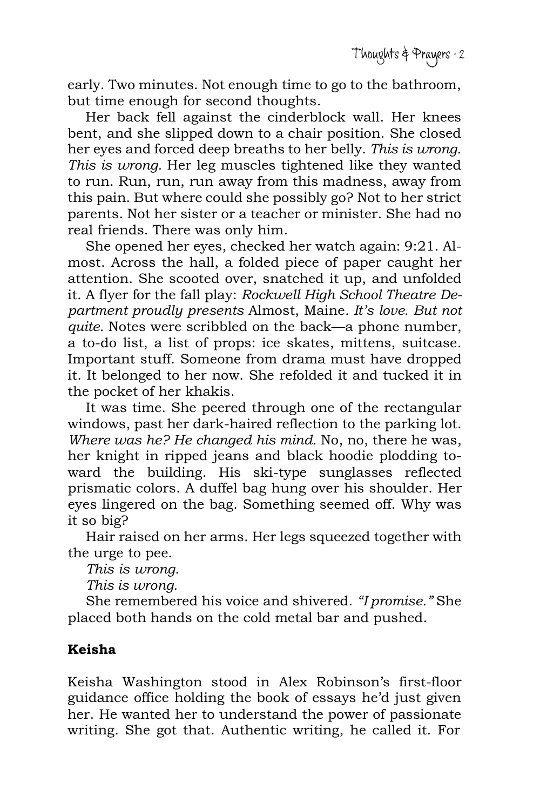early. Two minutes. Not enough time to go to the bathroom, but time enough for second thoughts.

Her back fell against the cinderblock wall. Her knees bent, and she slipped down to a chair position. She closed her eyes and forced deep breaths to her belly. *This is wrong. This is wrong.* Her leg muscles tightened like they wanted to run. Run, run, run away from this madness, away from this pain. But where could she possibly go? Not to her strict parents. Not her sister or a teacher or minister. She had no real friends. There was only him.

She opened her eyes, checked her watch again: 9:21. Almost. Across the hall, a folded piece of paper caught her attention. She scooted over, snatched it up, and unfolded it. A flyer for the fall play: *Rockwell High School Theatre Department proudly presents* Almost, Maine*. It's love. But not quite.* Notes were scribbled on the back—a phone number, a to-do list, a list of props: ice skates, mittens, suitcase. Important stuff. Someone from drama must have dropped it. It belonged to her now. She refolded it and tucked it in the pocket of her khakis.

It was time. She peered through one of the rectangular windows, past her dark-haired reflection to the parking lot. *Where was he? He changed his mind.* No, no, there he was, her knight in ripped jeans and black hoodie plodding toward the building. His ski-type sunglasses reflected prismatic colors. A duffel bag hung over his shoulder. Her eyes lingered on the bag. Something seemed off. Why was it so big?

Hair raised on her arms. Her legs squeezed together with the urge to pee.

*This is wrong.*

*This is wrong.*

She remembered his voice and shivered. *"I promise."* She placed both hands on the cold metal bar and pushed.

### **Keisha**

Keisha Washington stood in Alex Robinson's first-floor guidance office holding the book of essays he'd just given her. He wanted her to understand the power of passionate writing. She got that. Authentic writing, he called it. For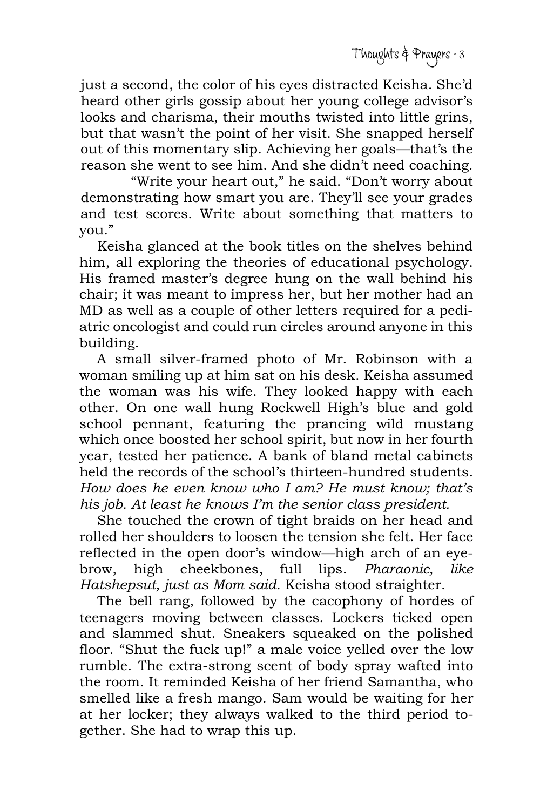just a second, the color of his eyes distracted Keisha. She'd heard other girls gossip about her young college advisor's looks and charisma, their mouths twisted into little grins, but that wasn't the point of her visit. She snapped herself out of this momentary slip. Achieving her goals—that's the reason she went to see him. And she didn't need coaching.

"Write your heart out," he said. "Don't worry about demonstrating how smart you are. They'll see your grades and test scores. Write about something that matters to you."

Keisha glanced at the book titles on the shelves behind him, all exploring the theories of educational psychology. His framed master's degree hung on the wall behind his chair; it was meant to impress her, but her mother had an MD as well as a couple of other letters required for a pediatric oncologist and could run circles around anyone in this building.

A small silver-framed photo of Mr. Robinson with a woman smiling up at him sat on his desk. Keisha assumed the woman was his wife. They looked happy with each other. On one wall hung Rockwell High's blue and gold school pennant, featuring the prancing wild mustang which once boosted her school spirit, but now in her fourth year, tested her patience. A bank of bland metal cabinets held the records of the school's thirteen-hundred students. *How does he even know who I am? He must know; that's his job. At least he knows I'm the senior class president.*

She touched the crown of tight braids on her head and rolled her shoulders to loosen the tension she felt. Her face reflected in the open door's window—high arch of an eyebrow, high cheekbones, full lips. *Pharaonic, like Hatshepsut, just as Mom said*. Keisha stood straighter.

The bell rang, followed by the cacophony of hordes of teenagers moving between classes. Lockers ticked open and slammed shut. Sneakers squeaked on the polished floor. "Shut the fuck up!" a male voice yelled over the low rumble. The extra-strong scent of body spray wafted into the room. It reminded Keisha of her friend Samantha, who smelled like a fresh mango. Sam would be waiting for her at her locker; they always walked to the third period together. She had to wrap this up.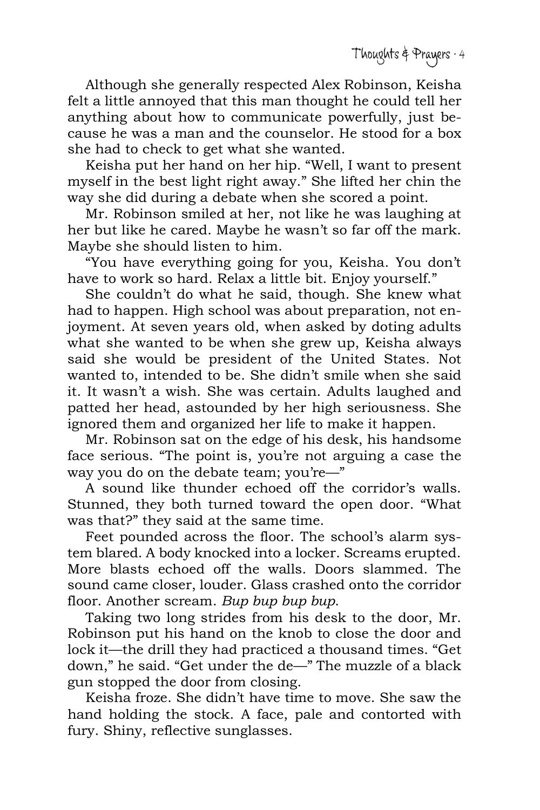Although she generally respected Alex Robinson, Keisha felt a little annoyed that this man thought he could tell her anything about how to communicate powerfully, just because he was a man and the counselor. He stood for a box she had to check to get what she wanted.

Keisha put her hand on her hip. "Well, I want to present myself in the best light right away." She lifted her chin the way she did during a debate when she scored a point.

Mr. Robinson smiled at her, not like he was laughing at her but like he cared. Maybe he wasn't so far off the mark. Maybe she should listen to him.

"You have everything going for you, Keisha. You don't have to work so hard. Relax a little bit. Enjoy yourself."

She couldn't do what he said, though. She knew what had to happen. High school was about preparation, not enjoyment. At seven years old, when asked by doting adults what she wanted to be when she grew up, Keisha always said she would be president of the United States. Not wanted to, intended to be. She didn't smile when she said it. It wasn't a wish. She was certain. Adults laughed and patted her head, astounded by her high seriousness. She ignored them and organized her life to make it happen.

Mr. Robinson sat on the edge of his desk, his handsome face serious. "The point is, you're not arguing a case the way you do on the debate team; you're—"

A sound like thunder echoed off the corridor's walls. Stunned, they both turned toward the open door. "What was that?" they said at the same time.

Feet pounded across the floor. The school's alarm system blared. A body knocked into a locker. Screams erupted. More blasts echoed off the walls. Doors slammed. The sound came closer, louder. Glass crashed onto the corridor floor. Another scream. *Bup bup bup bup*.

Taking two long strides from his desk to the door, Mr. Robinson put his hand on the knob to close the door and lock it—the drill they had practiced a thousand times. "Get down," he said. "Get under the de—" The muzzle of a black gun stopped the door from closing.

Keisha froze. She didn't have time to move. She saw the hand holding the stock. A face, pale and contorted with fury. Shiny, reflective sunglasses.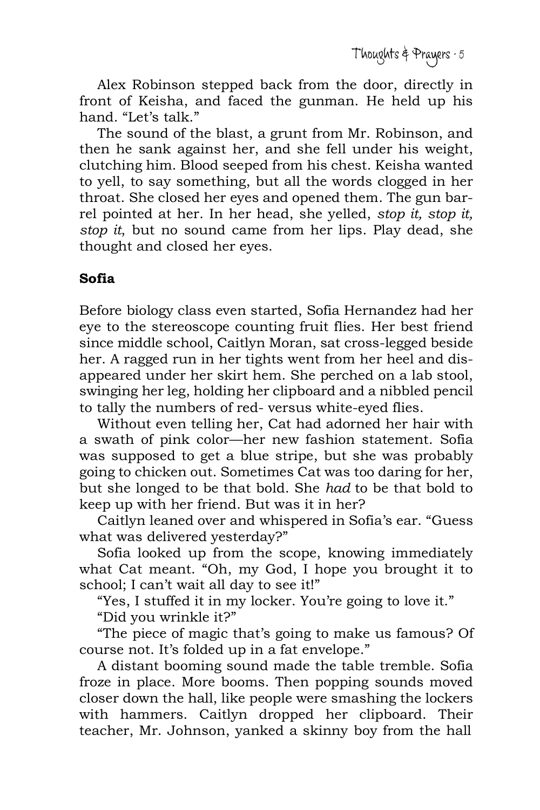Alex Robinson stepped back from the door, directly in front of Keisha, and faced the gunman. He held up his hand. "Let's talk."

The sound of the blast, a grunt from Mr. Robinson, and then he sank against her, and she fell under his weight, clutching him. Blood seeped from his chest. Keisha wanted to yell, to say something, but all the words clogged in her throat. She closed her eyes and opened them. The gun barrel pointed at her. In her head, she yelled, *stop it, stop it, stop it*, but no sound came from her lips. Play dead, she thought and closed her eyes.

#### **Sofia**

Before biology class even started, Sofia Hernandez had her eye to the stereoscope counting fruit flies. Her best friend since middle school, Caitlyn Moran, sat cross-legged beside her. A ragged run in her tights went from her heel and disappeared under her skirt hem. She perched on a lab stool, swinging her leg, holding her clipboard and a nibbled pencil to tally the numbers of red- versus white-eyed flies.

Without even telling her, Cat had adorned her hair with a swath of pink color—her new fashion statement. Sofia was supposed to get a blue stripe, but she was probably going to chicken out. Sometimes Cat was too daring for her, but she longed to be that bold. She *had* to be that bold to keep up with her friend. But was it in her?

Caitlyn leaned over and whispered in Sofia's ear. "Guess what was delivered yesterday?"

Sofia looked up from the scope, knowing immediately what Cat meant. "Oh, my God, I hope you brought it to school; I can't wait all day to see it!"

"Yes, I stuffed it in my locker. You're going to love it." "Did you wrinkle it?"

"The piece of magic that's going to make us famous? Of course not. It's folded up in a fat envelope."

A distant booming sound made the table tremble. Sofia froze in place. More booms. Then popping sounds moved closer down the hall, like people were smashing the lockers with hammers. Caitlyn dropped her clipboard. Their teacher, Mr. Johnson, yanked a skinny boy from the hall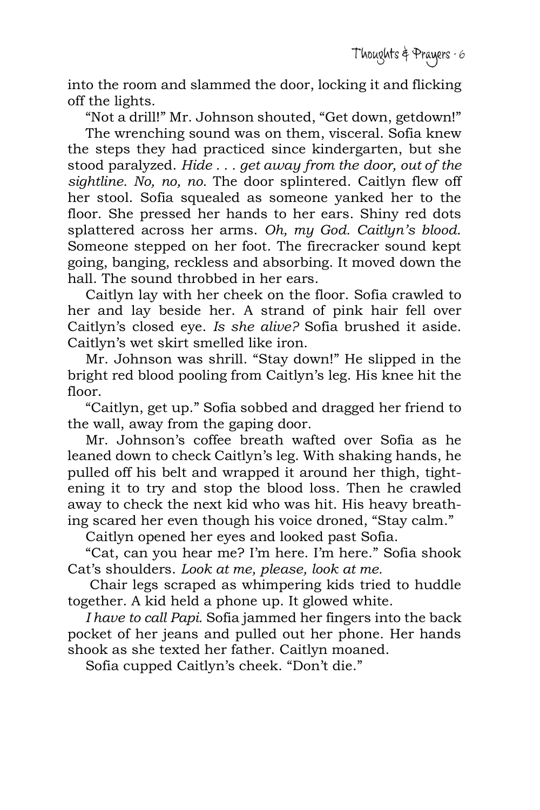into the room and slammed the door, locking it and flicking off the lights.

"Not a drill!" Mr. Johnson shouted, "Get down, getdown!" The wrenching sound was on them, visceral. Sofia knew

the steps they had practiced since kindergarten, but she stood paralyzed. *Hide . . . get away from the door, out of the sightline. No, no, no.* The door splintered. Caitlyn flew off her stool. Sofia squealed as someone yanked her to the floor. She pressed her hands to her ears. Shiny red dots splattered across her arms. *Oh, my God. Caitlyn's blood*. Someone stepped on her foot. The firecracker sound kept going, banging, reckless and absorbing. It moved down the hall. The sound throbbed in her ears.

Caitlyn lay with her cheek on the floor. Sofia crawled to her and lay beside her. A strand of pink hair fell over Caitlyn's closed eye. *Is she alive?* Sofia brushed it aside. Caitlyn's wet skirt smelled like iron.

Mr. Johnson was shrill. "Stay down!" He slipped in the bright red blood pooling from Caitlyn's leg. His knee hit the floor.

"Caitlyn, get up." Sofia sobbed and dragged her friend to the wall, away from the gaping door.

Mr. Johnson's coffee breath wafted over Sofia as he leaned down to check Caitlyn's leg. With shaking hands, he pulled off his belt and wrapped it around her thigh, tightening it to try and stop the blood loss. Then he crawled away to check the next kid who was hit. His heavy breathing scared her even though his voice droned, "Stay calm."

Caitlyn opened her eyes and looked past Sofia.

"Cat, can you hear me? I'm here. I'm here." Sofia shook Cat's shoulders. *Look at me, please, look at me.*

Chair legs scraped as whimpering kids tried to huddle together. A kid held a phone up. It glowed white.

*I have to call Papi.* Sofia jammed her fingers into the back pocket of her jeans and pulled out her phone. Her hands shook as she texted her father. Caitlyn moaned.

Sofia cupped Caitlyn's cheek. "Don't die."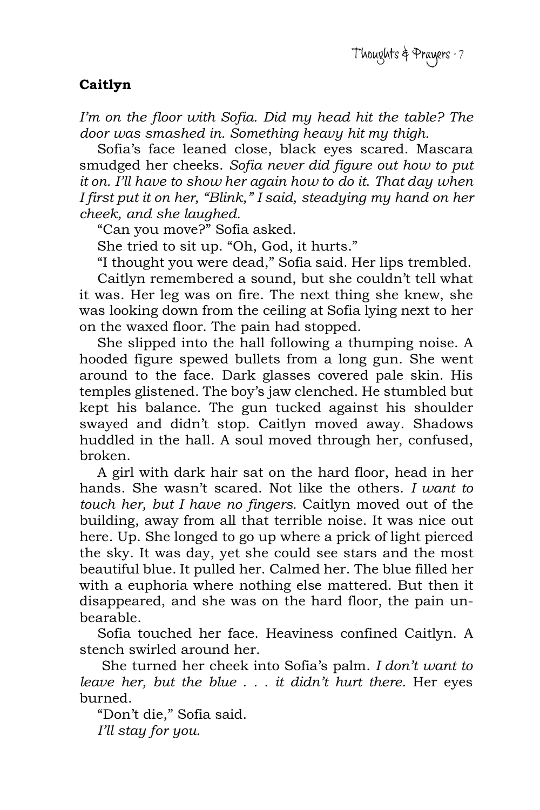## **Caitlyn**

*I'm on the floor with Sofia. Did my head hit the table? The door was smashed in. Something heavy hit my thigh.*

Sofia's face leaned close, black eyes scared. Mascara smudged her cheeks. *Sofia never did figure out how to put it on. I'll have to show her again how to do it*. *That day when I first put it on her, "Blink," I said, steadying my hand on her cheek, and she laughed.*

"Can you move?" Sofia asked.

She tried to sit up. "Oh, God, it hurts."

"I thought you were dead," Sofia said. Her lips trembled.

Caitlyn remembered a sound, but she couldn't tell what it was. Her leg was on fire. The next thing she knew, she was looking down from the ceiling at Sofia lying next to her on the waxed floor. The pain had stopped.

She slipped into the hall following a thumping noise. A hooded figure spewed bullets from a long gun. She went around to the face. Dark glasses covered pale skin. His temples glistened. The boy's jaw clenched. He stumbled but kept his balance. The gun tucked against his shoulder swayed and didn't stop. Caitlyn moved away. Shadows huddled in the hall. A soul moved through her, confused, broken.

A girl with dark hair sat on the hard floor, head in her hands. She wasn't scared. Not like the others. *I want to touch her, but I have no fingers.* Caitlyn moved out of the building, away from all that terrible noise. It was nice out here. Up. She longed to go up where a prick of light pierced the sky. It was day, yet she could see stars and the most beautiful blue. It pulled her. Calmed her. The blue filled her with a euphoria where nothing else mattered. But then it disappeared, and she was on the hard floor, the pain unbearable.

Sofia touched her face. Heaviness confined Caitlyn. A stench swirled around her.

She turned her cheek into Sofia's palm. *I don't want to leave her, but the blue . . . it didn't hurt there. Her eyes* burned.

"Don't die," Sofia said. *I'll stay for you.*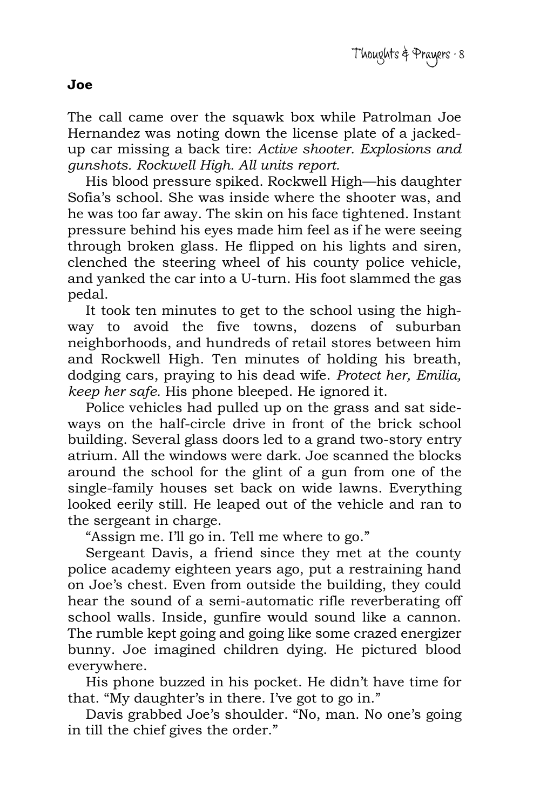### **Joe**

The call came over the squawk box while Patrolman Joe Hernandez was noting down the license plate of a jackedup car missing a back tire: *Active shooter. Explosions and gunshots. Rockwell High. All units report.*

His blood pressure spiked. Rockwell High—his daughter Sofia's school. She was inside where the shooter was, and he was too far away. The skin on his face tightened. Instant pressure behind his eyes made him feel as if he were seeing through broken glass. He flipped on his lights and siren, clenched the steering wheel of his county police vehicle, and yanked the car into a U-turn. His foot slammed the gas pedal.

It took ten minutes to get to the school using the highway to avoid the five towns, dozens of suburban neighborhoods, and hundreds of retail stores between him and Rockwell High. Ten minutes of holding his breath, dodging cars, praying to his dead wife. *Protect her, Emilia, keep her safe.* His phone bleeped. He ignored it.

Police vehicles had pulled up on the grass and sat sideways on the half-circle drive in front of the brick school building. Several glass doors led to a grand two-story entry atrium. All the windows were dark. Joe scanned the blocks around the school for the glint of a gun from one of the single-family houses set back on wide lawns. Everything looked eerily still. He leaped out of the vehicle and ran to the sergeant in charge.

"Assign me. I'll go in. Tell me where to go."

Sergeant Davis, a friend since they met at the county police academy eighteen years ago, put a restraining hand on Joe's chest. Even from outside the building, they could hear the sound of a semi-automatic rifle reverberating off school walls. Inside, gunfire would sound like a cannon. The rumble kept going and going like some crazed energizer bunny. Joe imagined children dying. He pictured blood everywhere.

His phone buzzed in his pocket. He didn't have time for that. "My daughter's in there. I've got to go in."

Davis grabbed Joe's shoulder. "No, man. No one's going in till the chief gives the order."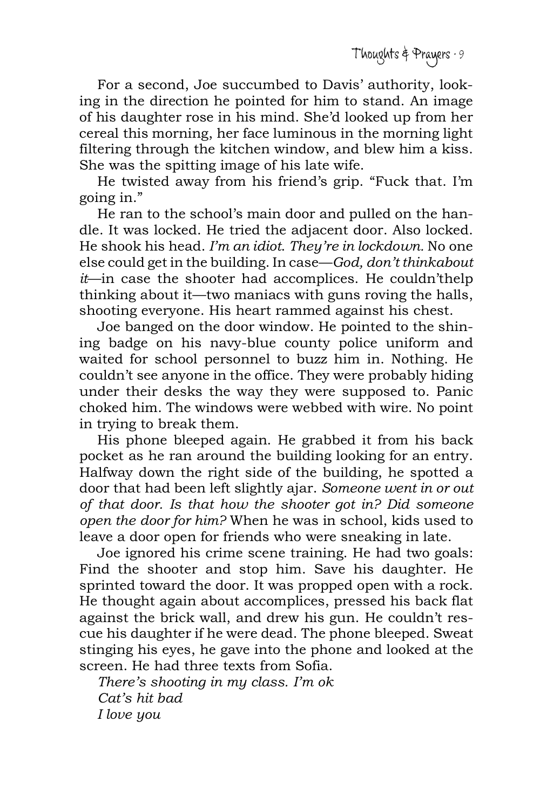For a second, Joe succumbed to Davis' authority, looking in the direction he pointed for him to stand. An image of his daughter rose in his mind. She'd looked up from her cereal this morning, her face luminous in the morning light filtering through the kitchen window, and blew him a kiss. She was the spitting image of his late wife.

He twisted away from his friend's grip. "Fuck that. I'm going in."

He ran to the school's main door and pulled on the handle. It was locked. He tried the adjacent door. Also locked. He shook his head. *I'm an idiot*. *They're in lockdown.* No one else could get in the building. In case—*God, don't thinkabout it*—in case the shooter had accomplices. He couldn'thelp thinking about it—two maniacs with guns roving the halls, shooting everyone. His heart rammed against his chest.

Joe banged on the door window. He pointed to the shining badge on his navy-blue county police uniform and waited for school personnel to buzz him in. Nothing. He couldn't see anyone in the office. They were probably hiding under their desks the way they were supposed to. Panic choked him. The windows were webbed with wire. No point in trying to break them.

His phone bleeped again. He grabbed it from his back pocket as he ran around the building looking for an entry. Halfway down the right side of the building, he spotted a door that had been left slightly ajar. *Someone went in or out of that door. Is that how the shooter got in? Did someone open the door for him?* When he was in school, kids used to leave a door open for friends who were sneaking in late.

Joe ignored his crime scene training. He had two goals: Find the shooter and stop him. Save his daughter. He sprinted toward the door. It was propped open with a rock. He thought again about accomplices, pressed his back flat against the brick wall, and drew his gun. He couldn't rescue his daughter if he were dead. The phone bleeped. Sweat stinging his eyes, he gave into the phone and looked at the screen. He had three texts from Sofia.

*There's shooting in my class. I'm ok Cat's hit bad I love you*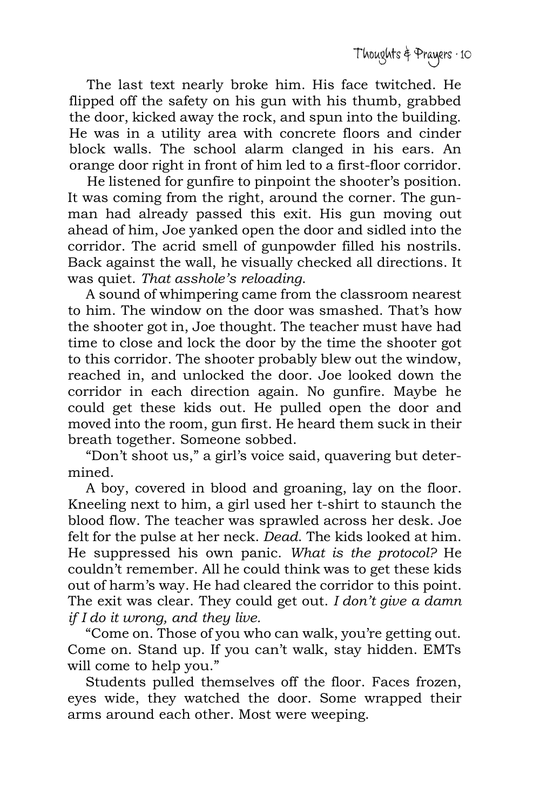The last text nearly broke him. His face twitched. He flipped off the safety on his gun with his thumb, grabbed the door, kicked away the rock, and spun into the building. He was in a utility area with concrete floors and cinder block walls. The school alarm clanged in his ears. An orange door right in front of him led to a first-floor corridor.

He listened for gunfire to pinpoint the shooter's position. It was coming from the right, around the corner. The gunman had already passed this exit. His gun moving out ahead of him, Joe yanked open the door and sidled into the corridor. The acrid smell of gunpowder filled his nostrils. Back against the wall, he visually checked all directions. It was quiet. *That asshole's reloading*.

A sound of whimpering came from the classroom nearest to him. The window on the door was smashed. That's how the shooter got in, Joe thought. The teacher must have had time to close and lock the door by the time the shooter got to this corridor. The shooter probably blew out the window, reached in, and unlocked the door. Joe looked down the corridor in each direction again. No gunfire. Maybe he could get these kids out. He pulled open the door and moved into the room, gun first. He heard them suck in their breath together. Someone sobbed.

"Don't shoot us," a girl's voice said, quavering but determined.

A boy, covered in blood and groaning, lay on the floor. Kneeling next to him, a girl used her t-shirt to staunch the blood flow. The teacher was sprawled across her desk. Joe felt for the pulse at her neck. *Dead*. The kids looked at him. He suppressed his own panic. *What is the protocol?* He couldn't remember. All he could think was to get these kids out of harm's way. He had cleared the corridor to this point. The exit was clear. They could get out. *I don't give a damn if I do it wrong, and they live.*

"Come on. Those of you who can walk, you're getting out. Come on. Stand up. If you can't walk, stay hidden. EMTs will come to help you."

Students pulled themselves off the floor. Faces frozen, eyes wide, they watched the door. Some wrapped their arms around each other. Most were weeping.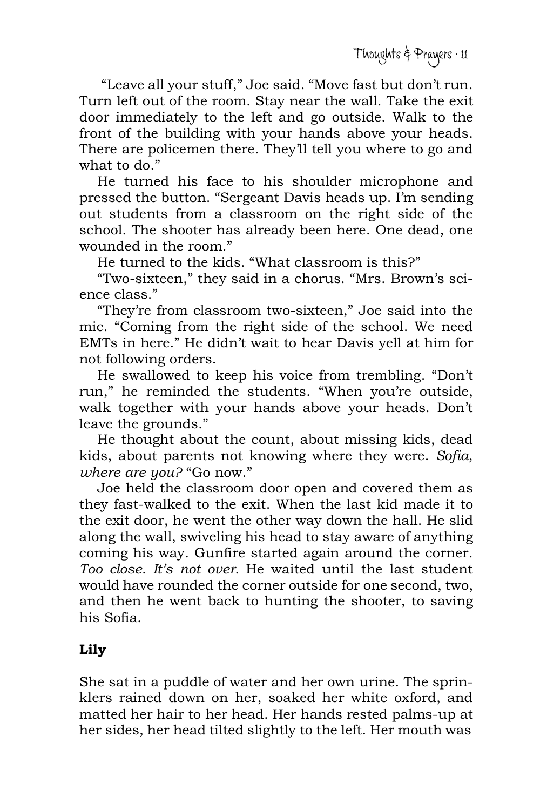"Leave all your stuff," Joe said. "Move fast but don't run. Turn left out of the room. Stay near the wall. Take the exit door immediately to the left and go outside. Walk to the front of the building with your hands above your heads. There are policemen there. They'll tell you where to go and what to do."

He turned his face to his shoulder microphone and pressed the button. "Sergeant Davis heads up. I'm sending out students from a classroom on the right side of the school. The shooter has already been here. One dead, one wounded in the room."

He turned to the kids. "What classroom is this?"

"Two-sixteen," they said in a chorus. "Mrs. Brown's science class."

"They're from classroom two-sixteen," Joe said into the mic. "Coming from the right side of the school. We need EMTs in here." He didn't wait to hear Davis yell at him for not following orders.

He swallowed to keep his voice from trembling. "Don't run," he reminded the students. "When you're outside, walk together with your hands above your heads. Don't leave the grounds."

He thought about the count, about missing kids, dead kids, about parents not knowing where they were. *Sofia, where are you?* "Go now."

Joe held the classroom door open and covered them as they fast-walked to the exit. When the last kid made it to the exit door, he went the other way down the hall. He slid along the wall, swiveling his head to stay aware of anything coming his way. Gunfire started again around the corner. *Too close. It's not over.* He waited until the last student would have rounded the corner outside for one second, two, and then he went back to hunting the shooter, to saving his Sofia.

## **Lily**

She sat in a puddle of water and her own urine. The sprinklers rained down on her, soaked her white oxford, and matted her hair to her head. Her hands rested palms-up at her sides, her head tilted slightly to the left. Her mouth was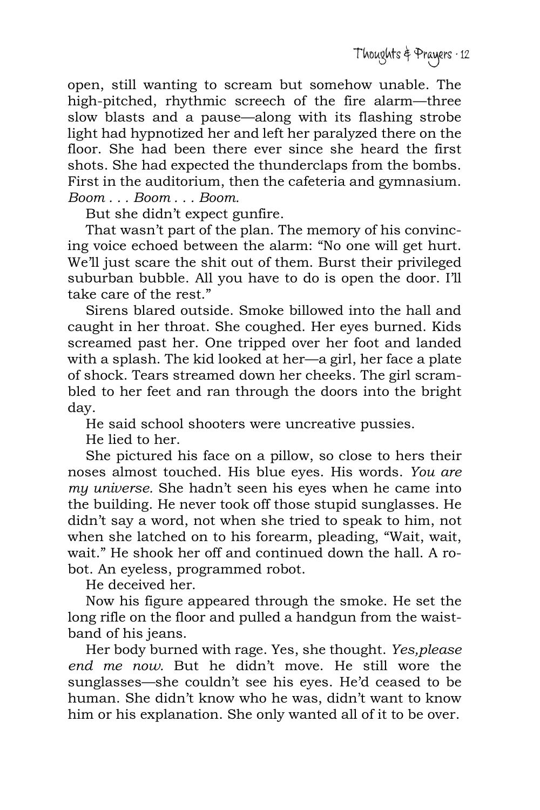open, still wanting to scream but somehow unable. The high-pitched, rhythmic screech of the fire alarm—three slow blasts and a pause—along with its flashing strobe light had hypnotized her and left her paralyzed there on the floor. She had been there ever since she heard the first shots. She had expected the thunderclaps from the bombs. First in the auditorium, then the cafeteria and gymnasium. *Boom . . . Boom . . . Boom.*

But she didn't expect gunfire.

That wasn't part of the plan. The memory of his convincing voice echoed between the alarm: "No one will get hurt. We'll just scare the shit out of them. Burst their privileged suburban bubble. All you have to do is open the door. I'll take care of the rest."

Sirens blared outside. Smoke billowed into the hall and caught in her throat. She coughed. Her eyes burned. Kids screamed past her. One tripped over her foot and landed with a splash. The kid looked at her—a girl, her face a plate of shock. Tears streamed down her cheeks. The girl scrambled to her feet and ran through the doors into the bright day.

He said school shooters were uncreative pussies.

He lied to her.

She pictured his face on a pillow, so close to hers their noses almost touched. His blue eyes. His words. *You are my universe.* She hadn't seen his eyes when he came into the building. He never took off those stupid sunglasses. He didn't say a word, not when she tried to speak to him, not when she latched on to his forearm, pleading, "Wait, wait, wait." He shook her off and continued down the hall. A robot. An eyeless, programmed robot.

He deceived her.

Now his figure appeared through the smoke. He set the long rifle on the floor and pulled a handgun from the waistband of his jeans.

Her body burned with rage. Yes, she thought. *Yes,please end me now.* But he didn't move. He still wore the sunglasses—she couldn't see his eyes. He'd ceased to be human. She didn't know who he was, didn't want to know him or his explanation. She only wanted all of it to be over.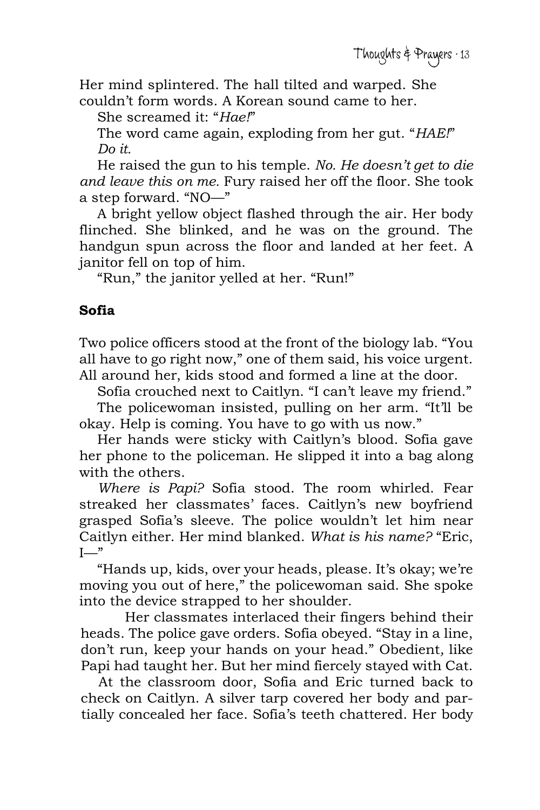Her mind splintered. The hall tilted and warped. She couldn't form words. A Korean sound came to her.

She screamed it: "*Hae!*"

The word came again, exploding from her gut. "*HAE!*" *Do it.*

He raised the gun to his temple. *No. He doesn't get to die and leave this on me.* Fury raised her off the floor. She took a step forward. "NO—"

A bright yellow object flashed through the air. Her body flinched. She blinked, and he was on the ground. The handgun spun across the floor and landed at her feet. A janitor fell on top of him.

"Run," the janitor yelled at her. "Run!"

### **Sofia**

Two police officers stood at the front of the biology lab. "You all have to go right now," one of them said, his voice urgent. All around her, kids stood and formed a line at the door.

Sofia crouched next to Caitlyn. "I can't leave my friend."

The policewoman insisted, pulling on her arm. "It'll be okay. Help is coming. You have to go with us now."

Her hands were sticky with Caitlyn's blood. Sofia gave her phone to the policeman. He slipped it into a bag along with the others.

*Where is Papi?* Sofia stood. The room whirled. Fear streaked her classmates' faces. Caitlyn's new boyfriend grasped Sofia's sleeve. The police wouldn't let him near Caitlyn either. Her mind blanked. *What is his name?* "Eric,  $I$ <sup>"</sup>

"Hands up, kids, over your heads, please. It's okay; we're moving you out of here," the policewoman said. She spoke into the device strapped to her shoulder.

Her classmates interlaced their fingers behind their heads. The police gave orders. Sofia obeyed. "Stay in a line, don't run, keep your hands on your head." Obedient*,* like Papi had taught her*.* But her mind fiercely stayed with Cat.

At the classroom door, Sofia and Eric turned back to check on Caitlyn. A silver tarp covered her body and partially concealed her face. Sofia's teeth chattered. Her body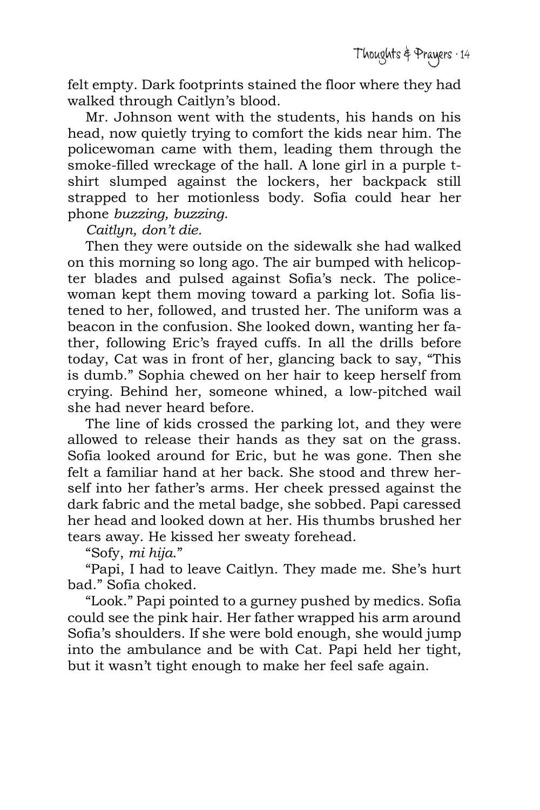felt empty. Dark footprints stained the floor where they had walked through Caitlyn's blood.

Mr. Johnson went with the students, his hands on his head, now quietly trying to comfort the kids near him. The policewoman came with them, leading them through the smoke-filled wreckage of the hall. A lone girl in a purple tshirt slumped against the lockers, her backpack still strapped to her motionless body. Sofia could hear her phone *buzzing, buzzing*.

*Caitlyn, don't die.*

Then they were outside on the sidewalk she had walked on this morning so long ago. The air bumped with helicopter blades and pulsed against Sofia's neck. The policewoman kept them moving toward a parking lot. Sofia listened to her, followed, and trusted her. The uniform was a beacon in the confusion. She looked down, wanting her father, following Eric's frayed cuffs. In all the drills before today, Cat was in front of her, glancing back to say, "This is dumb." Sophia chewed on her hair to keep herself from crying. Behind her, someone whined, a low-pitched wail she had never heard before.

The line of kids crossed the parking lot, and they were allowed to release their hands as they sat on the grass. Sofia looked around for Eric, but he was gone. Then she felt a familiar hand at her back. She stood and threw herself into her father's arms. Her cheek pressed against the dark fabric and the metal badge, she sobbed. Papi caressed her head and looked down at her. His thumbs brushed her tears away. He kissed her sweaty forehead.

"Sofy, *mi hija*."

"Papi, I had to leave Caitlyn. They made me. She's hurt bad." Sofia choked.

"Look." Papi pointed to a gurney pushed by medics. Sofia could see the pink hair. Her father wrapped his arm around Sofia's shoulders. If she were bold enough, she would jump into the ambulance and be with Cat. Papi held her tight, but it wasn't tight enough to make her feel safe again.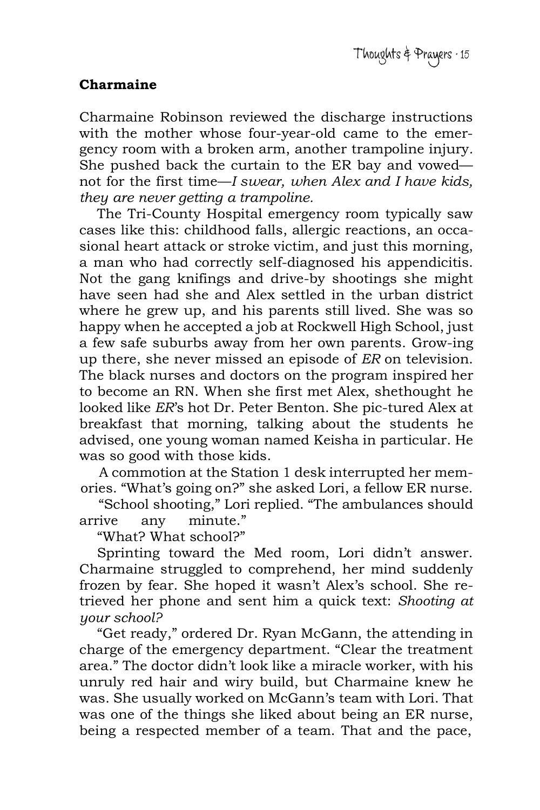## **Charmaine**

Charmaine Robinson reviewed the discharge instructions with the mother whose four-year-old came to the emergency room with a broken arm, another trampoline injury*.* She pushed back the curtain to the ER bay and vowed not for the first time—*I swear, when Alex and I have kids, they are never getting a trampoline.*

The Tri-County Hospital emergency room typically saw cases like this: childhood falls, allergic reactions, an occasional heart attack or stroke victim, and just this morning, a man who had correctly self-diagnosed his appendicitis. Not the gang knifings and drive-by shootings she might have seen had she and Alex settled in the urban district where he grew up, and his parents still lived. She was so happy when he accepted a job at Rockwell High School, just a few safe suburbs away from her own parents. Grow-ing up there, she never missed an episode of *ER* on television. The black nurses and doctors on the program inspired her to become an RN. When she first met Alex, shethought he looked like *ER*'s hot Dr. Peter Benton. She pic-tured Alex at breakfast that morning, talking about the students he advised, one young woman named Keisha in particular. He was so good with those kids.

A commotion at the Station 1 desk interrupted her memories. "What's going on?" she asked Lori, a fellow ER nurse.

"School shooting," Lori replied. "The ambulances should arrive any minute."

"What? What school?"

Sprinting toward the Med room, Lori didn't answer. Charmaine struggled to comprehend, her mind suddenly frozen by fear. She hoped it wasn't Alex's school. She retrieved her phone and sent him a quick text: *Shooting at your school?*

"Get ready," ordered Dr. Ryan McGann, the attending in charge of the emergency department. "Clear the treatment area." The doctor didn't look like a miracle worker, with his unruly red hair and wiry build, but Charmaine knew he was. She usually worked on McGann's team with Lori. That was one of the things she liked about being an ER nurse, being a respected member of a team. That and the pace,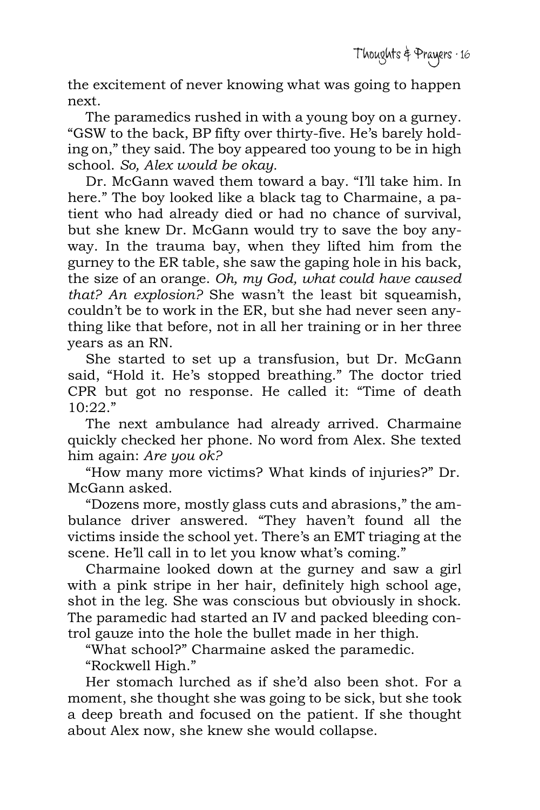the excitement of never knowing what was going to happen next.

The paramedics rushed in with a young boy on a gurney. "GSW to the back, BP fifty over thirty-five. He's barely holding on," they said. The boy appeared too young to be in high school. *So, Alex would be okay.*

Dr. McGann waved them toward a bay. "I'll take him. In here." The boy looked like a black tag to Charmaine, a patient who had already died or had no chance of survival, but she knew Dr. McGann would try to save the boy anyway. In the trauma bay, when they lifted him from the gurney to the ER table, she saw the gaping hole in his back, the size of an orange. *Oh, my God, what could have caused that? An explosion?* She wasn't the least bit squeamish, couldn't be to work in the ER, but she had never seen anything like that before, not in all her training or in her three years as an RN.

She started to set up a transfusion, but Dr. McGann said, "Hold it. He's stopped breathing." The doctor tried CPR but got no response. He called it: "Time of death 10:22."

The next ambulance had already arrived. Charmaine quickly checked her phone. No word from Alex. She texted him again: *Are you ok?*

"How many more victims? What kinds of injuries?" Dr. McGann asked.

"Dozens more, mostly glass cuts and abrasions," the ambulance driver answered. "They haven't found all the victims inside the school yet. There's an EMT triaging at the scene. He'll call in to let you know what's coming."

Charmaine looked down at the gurney and saw a girl with a pink stripe in her hair, definitely high school age, shot in the leg. She was conscious but obviously in shock. The paramedic had started an IV and packed bleeding control gauze into the hole the bullet made in her thigh.

"What school?" Charmaine asked the paramedic.

"Rockwell High."

Her stomach lurched as if she'd also been shot. For a moment, she thought she was going to be sick, but she took a deep breath and focused on the patient. If she thought about Alex now, she knew she would collapse.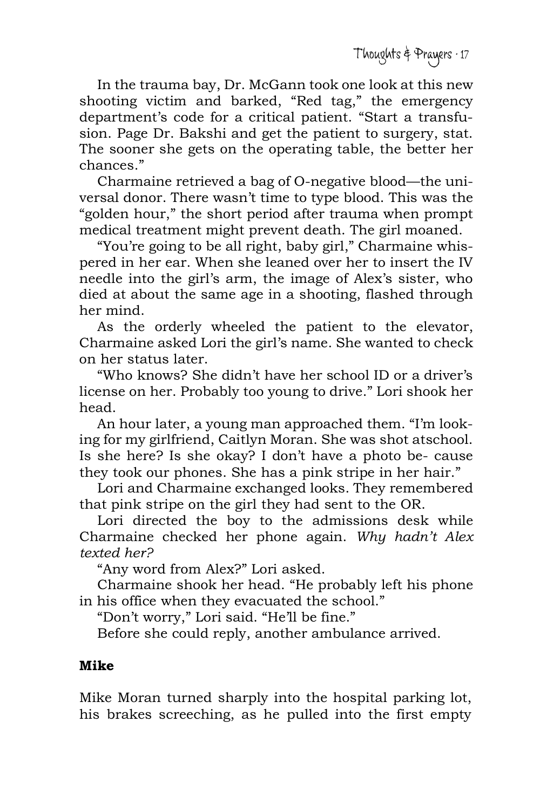In the trauma bay, Dr. McGann took one look at this new shooting victim and barked, "Red tag," the emergency department's code for a critical patient. "Start a transfusion. Page Dr. Bakshi and get the patient to surgery, stat. The sooner she gets on the operating table, the better her chances."

Charmaine retrieved a bag of O-negative blood—the universal donor. There wasn't time to type blood. This was the "golden hour," the short period after trauma when prompt medical treatment might prevent death. The girl moaned.

"You're going to be all right, baby girl," Charmaine whispered in her ear. When she leaned over her to insert the IV needle into the girl's arm, the image of Alex's sister, who died at about the same age in a shooting, flashed through her mind.

As the orderly wheeled the patient to the elevator, Charmaine asked Lori the girl's name. She wanted to check on her status later.

"Who knows? She didn't have her school ID or a driver's license on her. Probably too young to drive." Lori shook her head.

An hour later, a young man approached them. "I'm looking for my girlfriend, Caitlyn Moran. She was shot atschool. Is she here? Is she okay? I don't have a photo be- cause they took our phones. She has a pink stripe in her hair."

Lori and Charmaine exchanged looks. They remembered that pink stripe on the girl they had sent to the OR.

Lori directed the boy to the admissions desk while Charmaine checked her phone again. *Why hadn't Alex texted her?*

"Any word from Alex?" Lori asked.

Charmaine shook her head. "He probably left his phone in his office when they evacuated the school."

"Don't worry," Lori said. "He'll be fine."

Before she could reply, another ambulance arrived.

### **Mike**

Mike Moran turned sharply into the hospital parking lot, his brakes screeching, as he pulled into the first empty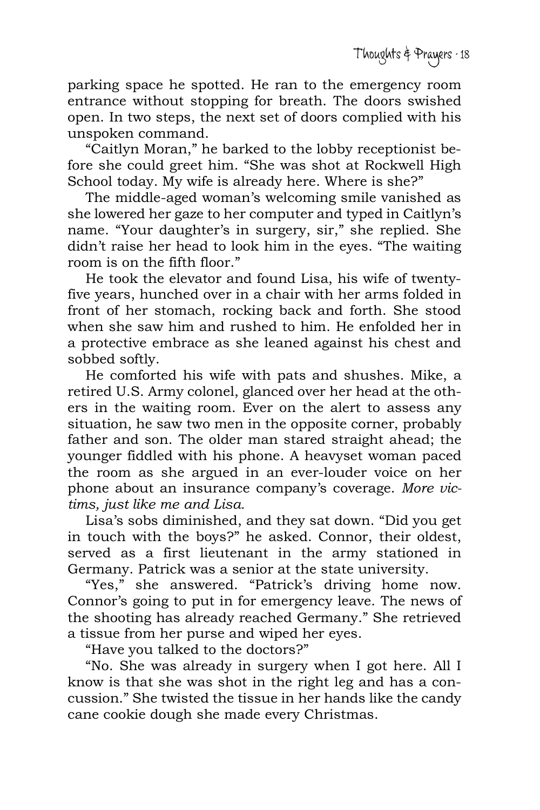parking space he spotted. He ran to the emergency room entrance without stopping for breath. The doors swished open. In two steps, the next set of doors complied with his unspoken command.

"Caitlyn Moran," he barked to the lobby receptionist before she could greet him. "She was shot at Rockwell High School today. My wife is already here. Where is she?"

The middle-aged woman's welcoming smile vanished as she lowered her gaze to her computer and typed in Caitlyn's name. "Your daughter's in surgery, sir," she replied. She didn't raise her head to look him in the eyes. "The waiting room is on the fifth floor."

He took the elevator and found Lisa, his wife of twentyfive years, hunched over in a chair with her arms folded in front of her stomach, rocking back and forth. She stood when she saw him and rushed to him. He enfolded her in a protective embrace as she leaned against his chest and sobbed softly.

He comforted his wife with pats and shushes. Mike, a retired U.S. Army colonel, glanced over her head at the others in the waiting room. Ever on the alert to assess any situation, he saw two men in the opposite corner, probably father and son. The older man stared straight ahead; the younger fiddled with his phone. A heavyset woman paced the room as she argued in an ever-louder voice on her phone about an insurance company's coverage. *More victims, just like me and Lisa.*

Lisa's sobs diminished, and they sat down. "Did you get in touch with the boys?" he asked. Connor, their oldest, served as a first lieutenant in the army stationed in Germany. Patrick was a senior at the state university.

"Yes," she answered. "Patrick's driving home now. Connor's going to put in for emergency leave. The news of the shooting has already reached Germany." She retrieved a tissue from her purse and wiped her eyes.

"Have you talked to the doctors?"

"No. She was already in surgery when I got here. All I know is that she was shot in the right leg and has a concussion." She twisted the tissue in her hands like the candy cane cookie dough she made every Christmas.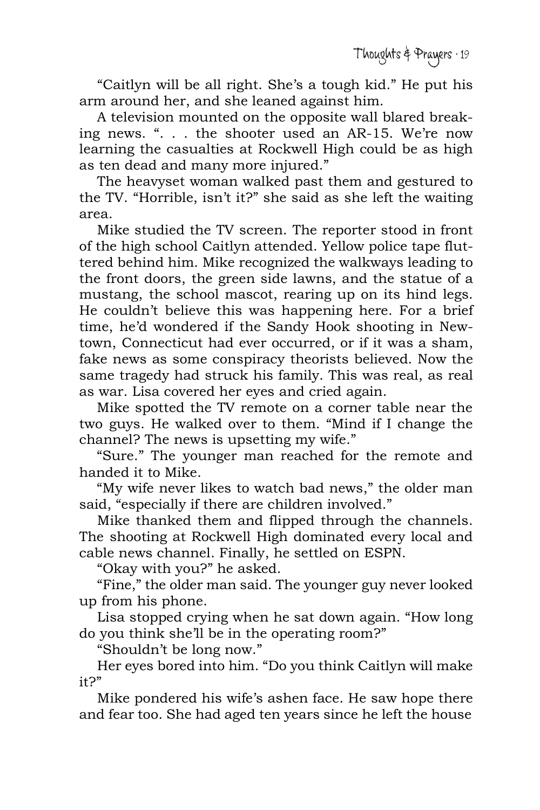"Caitlyn will be all right. She's a tough kid." He put his arm around her, and she leaned against him.

A television mounted on the opposite wall blared breaking news. ". . . the shooter used an AR-15. We're now learning the casualties at Rockwell High could be as high as ten dead and many more injured."

The heavyset woman walked past them and gestured to the TV. "Horrible, isn't it?" she said as she left the waiting area.

Mike studied the TV screen. The reporter stood in front of the high school Caitlyn attended. Yellow police tape fluttered behind him. Mike recognized the walkways leading to the front doors, the green side lawns, and the statue of a mustang, the school mascot, rearing up on its hind legs. He couldn't believe this was happening here. For a brief time, he'd wondered if the Sandy Hook shooting in Newtown, Connecticut had ever occurred, or if it was a sham, fake news as some conspiracy theorists believed. Now the same tragedy had struck his family. This was real, as real as war. Lisa covered her eyes and cried again.

Mike spotted the TV remote on a corner table near the two guys. He walked over to them. "Mind if I change the channel? The news is upsetting my wife."

"Sure." The younger man reached for the remote and handed it to Mike.

"My wife never likes to watch bad news," the older man said, "especially if there are children involved."

Mike thanked them and flipped through the channels. The shooting at Rockwell High dominated every local and cable news channel. Finally, he settled on ESPN.

"Okay with you?" he asked.

"Fine," the older man said. The younger guy never looked up from his phone.

Lisa stopped crying when he sat down again. "How long do you think she'll be in the operating room?"

"Shouldn't be long now."

Her eyes bored into him. "Do you think Caitlyn will make it?"

Mike pondered his wife's ashen face. He saw hope there and fear too. She had aged ten years since he left the house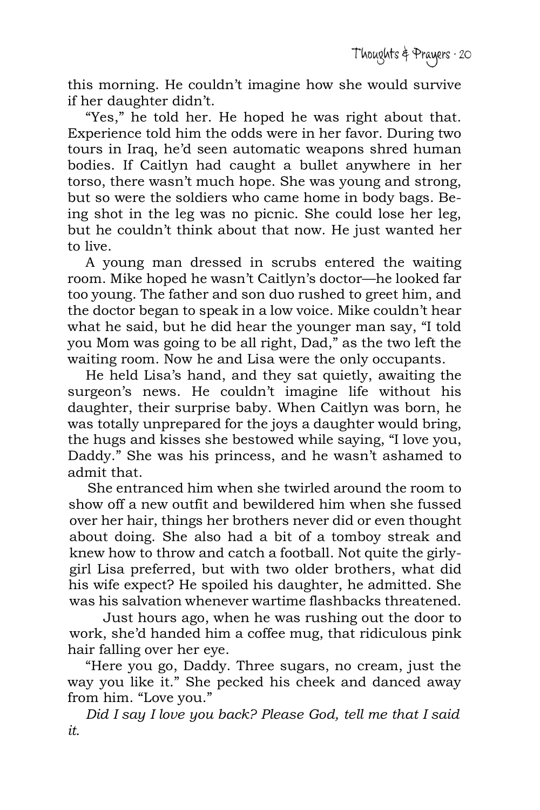this morning. He couldn't imagine how she would survive if her daughter didn't.

"Yes," he told her. He hoped he was right about that. Experience told him the odds were in her favor. During two tours in Iraq, he'd seen automatic weapons shred human bodies. If Caitlyn had caught a bullet anywhere in her torso, there wasn't much hope. She was young and strong, but so were the soldiers who came home in body bags. Being shot in the leg was no picnic. She could lose her leg, but he couldn't think about that now. He just wanted her to live.

A young man dressed in scrubs entered the waiting room. Mike hoped he wasn't Caitlyn's doctor—he looked far too young. The father and son duo rushed to greet him, and the doctor began to speak in a low voice. Mike couldn't hear what he said, but he did hear the younger man say, "I told you Mom was going to be all right, Dad," as the two left the waiting room. Now he and Lisa were the only occupants.

He held Lisa's hand, and they sat quietly, awaiting the surgeon's news. He couldn't imagine life without his daughter, their surprise baby. When Caitlyn was born, he was totally unprepared for the joys a daughter would bring, the hugs and kisses she bestowed while saying, "I love you, Daddy." She was his princess, and he wasn't ashamed to admit that.

She entranced him when she twirled around the room to show off a new outfit and bewildered him when she fussed over her hair, things her brothers never did or even thought about doing. She also had a bit of a tomboy streak and knew how to throw and catch a football. Not quite the girlygirl Lisa preferred, but with two older brothers, what did his wife expect? He spoiled his daughter, he admitted. She was his salvation whenever wartime flashbacks threatened.

Just hours ago, when he was rushing out the door to work, she'd handed him a coffee mug, that ridiculous pink hair falling over her eye.

"Here you go, Daddy. Three sugars, no cream, just the way you like it." She pecked his cheek and danced away from him. "Love you."

*Did I say I love you back? Please God, tell me that I said it.*